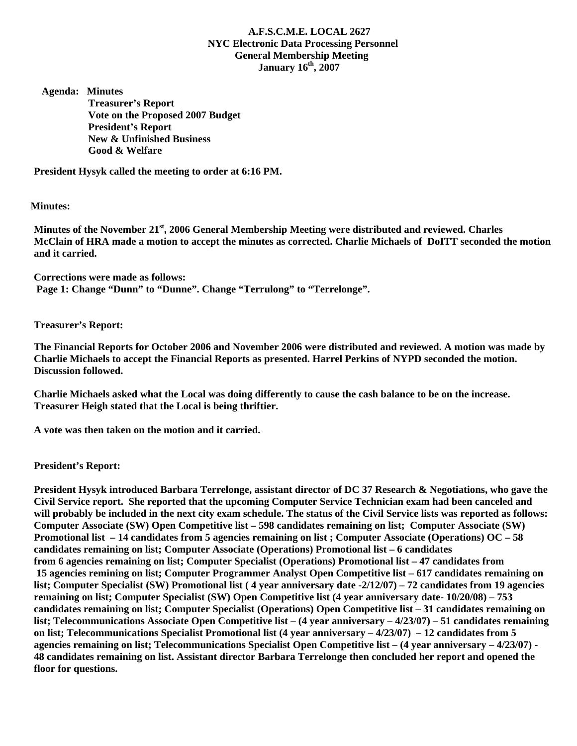## **A.F.S.C.M.E. LOCAL 2627 NYC Electronic Data Processing Personnel General Membership Meeting January 16th, 2007**

 **Agenda: Minutes Treasurer's Report Vote on the Proposed 2007 Budget President's Report New & Unfinished Business Good & Welfare** 

**President Hysyk called the meeting to order at 6:16 PM.** 

 **Minutes:** 

**Minutes of the November 21st, 2006 General Membership Meeting were distributed and reviewed. Charles McClain of HRA made a motion to accept the minutes as corrected. Charlie Michaels of DoITT seconded the motion and it carried.** 

**Corrections were made as follows: Page 1: Change "Dunn" to "Dunne". Change "Terrulong" to "Terrelonge".** 

**Treasurer's Report:** 

**The Financial Reports for October 2006 and November 2006 were distributed and reviewed. A motion was made by Charlie Michaels to accept the Financial Reports as presented. Harrel Perkins of NYPD seconded the motion. Discussion followed.** 

**Charlie Michaels asked what the Local was doing differently to cause the cash balance to be on the increase. Treasurer Heigh stated that the Local is being thriftier.** 

**A vote was then taken on the motion and it carried.** 

**President's Report:** 

**President Hysyk introduced Barbara Terrelonge, assistant director of DC 37 Research & Negotiations, who gave the Civil Service report. She reported that the upcoming Computer Service Technician exam had been canceled and will probably be included in the next city exam schedule. The status of the Civil Service lists was reported as follows: Computer Associate (SW) Open Competitive list – 598 candidates remaining on list; Computer Associate (SW) Promotional list – 14 candidates from 5 agencies remaining on list ; Computer Associate (Operations) OC – 58 candidates remaining on list; Computer Associate (Operations) Promotional list – 6 candidates from 6 agencies remaining on list; Computer Specialist (Operations) Promotional list – 47 candidates from 15 agencies remining on list; Computer Programmer Analyst Open Competitive list – 617 candidates remaining on list; Computer Specialist (SW) Promotional list ( 4 year anniversary date -2/12/07) – 72 candidates from 19 agencies remaining on list; Computer Specialist (SW) Open Competitive list (4 year anniversary date- 10/20/08) – 753 candidates remaining on list; Computer Specialist (Operations) Open Competitive list – 31 candidates remaining on list; Telecommunications Associate Open Competitive list – (4 year anniversary – 4/23/07) – 51 candidates remaining on list; Telecommunications Specialist Promotional list (4 year anniversary – 4/23/07) – 12 candidates from 5 agencies remaining on list; Telecommunications Specialist Open Competitive list – (4 year anniversary – 4/23/07) - 48 candidates remaining on list. Assistant director Barbara Terrelonge then concluded her report and opened the floor for questions.**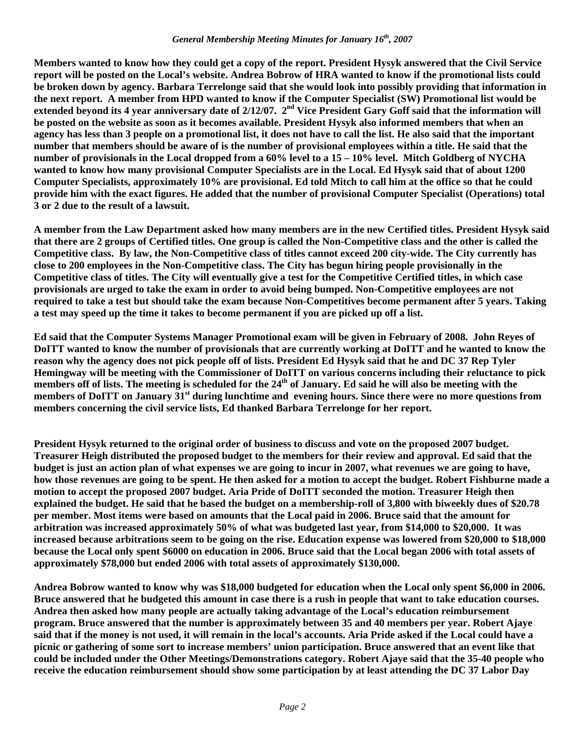## *General Membership Meeting Minutes for January 16th, 2007*

**Members wanted to know how they could get a copy of the report. President Hysyk answered that the Civil Service report will be posted on the Local's website. Andrea Bobrow of HRA wanted to know if the promotional lists could be broken down by agency. Barbara Terrelonge said that she would look into possibly providing that information in the next report. A member from HPD wanted to know if the Computer Specialist (SW) Promotional list would be**  extended beyond its 4 year anniversary date of 2/12/07. 2<sup>nd</sup> Vice President Gary Goff said that the information will **be posted on the website as soon as it becomes available. President Hysyk also informed members that when an agency has less than 3 people on a promotional list, it does not have to call the list. He also said that the important number that members should be aware of is the number of provisional employees within a title. He said that the number of provisionals in the Local dropped from a 60% level to a 15 – 10% level. Mitch Goldberg of NYCHA wanted to know how many provisional Computer Specialists are in the Local. Ed Hysyk said that of about 1200 Computer Specialists, approximately 10% are provisional. Ed told Mitch to call him at the office so that he could provide him with the exact figures. He added that the number of provisional Computer Specialist (Operations) total 3 or 2 due to the result of a lawsuit.** 

**A member from the Law Department asked how many members are in the new Certified titles. President Hysyk said that there are 2 groups of Certified titles. One group is called the Non-Competitive class and the other is called the Competitive class. By law, the Non-Competitive class of titles cannot exceed 200 city-wide. The City currently has close to 200 employees in the Non-Competitive class. The City has begun hiring people provisionally in the Competitive class of titles. The City will eventually give a test for the Competitive Certified titles, in which case provisionals are urged to take the exam in order to avoid being bumped. Non-Competitive employees are not required to take a test but should take the exam because Non-Competitives become permanent after 5 years. Taking a test may speed up the time it takes to become permanent if you are picked up off a list.** 

**Ed said that the Computer Systems Manager Promotional exam will be given in February of 2008. John Reyes of DoITT wanted to know the number of provisionals that are currently working at DoITT and he wanted to know the reason why the agency does not pick people off of lists. President Ed Hysyk said that he and DC 37 Rep Tyler Hemingway will be meeting with the Commissioner of DoITT on various concerns including their reluctance to pick**  members off of lists. The meeting is scheduled for the 24<sup>th</sup> of January. Ed said he will also be meeting with the **members of DoITT on January 31st during lunchtime and evening hours. Since there were no more questions from members concerning the civil service lists, Ed thanked Barbara Terrelonge for her report.** 

**President Hysyk returned to the original order of business to discuss and vote on the proposed 2007 budget. Treasurer Heigh distributed the proposed budget to the members for their review and approval. Ed said that the budget is just an action plan of what expenses we are going to incur in 2007, what revenues we are going to have, how those revenues are going to be spent. He then asked for a motion to accept the budget. Robert Fishburne made a motion to accept the proposed 2007 budget. Aria Pride of DoITT seconded the motion. Treasurer Heigh then explained the budget. He said that he based the budget on a membership-roll of 3,800 with biweekly dues of \$20.78 per member. Most items were based on amounts that the Local paid in 2006. Bruce said that the amount for arbitration was increased approximately 50% of what was budgeted last year, from \$14,000 to \$20,000. It was increased because arbitrations seem to be going on the rise. Education expense was lowered from \$20,000 to \$18,000 because the Local only spent \$6000 on education in 2006. Bruce said that the Local began 2006 with total assets of approximately \$78,000 but ended 2006 with total assets of approximately \$130,000.** 

**Andrea Bobrow wanted to know why was \$18,000 budgeted for education when the Local only spent \$6,000 in 2006. Bruce answered that he budgeted this amount in case there is a rush in people that want to take education courses. Andrea then asked how many people are actually taking advantage of the Local's education reimbursement program. Bruce answered that the number is approximately between 35 and 40 members per year. Robert Ajaye said that if the money is not used, it will remain in the local's accounts. Aria Pride asked if the Local could have a picnic or gathering of some sort to increase members' union participation. Bruce answered that an event like that could be included under the Other Meetings/Demonstrations category. Robert Ajaye said that the 35-40 people who receive the education reimbursement should show some participation by at least attending the DC 37 Labor Day**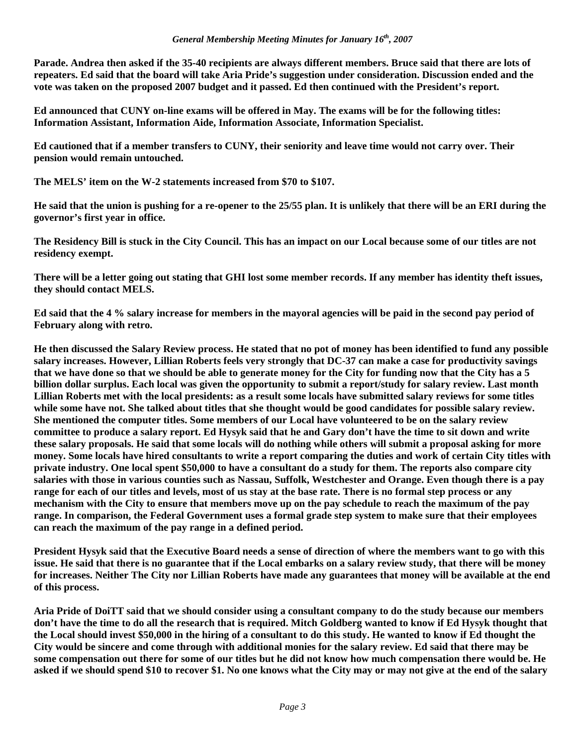**Parade. Andrea then asked if the 35-40 recipients are always different members. Bruce said that there are lots of repeaters. Ed said that the board will take Aria Pride's suggestion under consideration. Discussion ended and the vote was taken on the proposed 2007 budget and it passed. Ed then continued with the President's report.** 

**Ed announced that CUNY on-line exams will be offered in May. The exams will be for the following titles: Information Assistant, Information Aide, Information Associate, Information Specialist.** 

**Ed cautioned that if a member transfers to CUNY, their seniority and leave time would not carry over. Their pension would remain untouched.** 

**The MELS' item on the W-2 statements increased from \$70 to \$107.** 

**He said that the union is pushing for a re-opener to the 25/55 plan. It is unlikely that there will be an ERI during the governor's first year in office.** 

**The Residency Bill is stuck in the City Council. This has an impact on our Local because some of our titles are not residency exempt.** 

**There will be a letter going out stating that GHI lost some member records. If any member has identity theft issues, they should contact MELS.** 

**Ed said that the 4 % salary increase for members in the mayoral agencies will be paid in the second pay period of February along with retro.** 

**He then discussed the Salary Review process. He stated that no pot of money has been identified to fund any possible salary increases. However, Lillian Roberts feels very strongly that DC-37 can make a case for productivity savings that we have done so that we should be able to generate money for the City for funding now that the City has a 5 billion dollar surplus. Each local was given the opportunity to submit a report/study for salary review. Last month Lillian Roberts met with the local presidents: as a result some locals have submitted salary reviews for some titles while some have not. She talked about titles that she thought would be good candidates for possible salary review. She mentioned the computer titles. Some members of our Local have volunteered to be on the salary review committee to produce a salary report. Ed Hysyk said that he and Gary don't have the time to sit down and write these salary proposals. He said that some locals will do nothing while others will submit a proposal asking for more money. Some locals have hired consultants to write a report comparing the duties and work of certain City titles with private industry. One local spent \$50,000 to have a consultant do a study for them. The reports also compare city salaries with those in various counties such as Nassau, Suffolk, Westchester and Orange. Even though there is a pay range for each of our titles and levels, most of us stay at the base rate. There is no formal step process or any mechanism with the City to ensure that members move up on the pay schedule to reach the maximum of the pay range. In comparison, the Federal Government uses a formal grade step system to make sure that their employees can reach the maximum of the pay range in a defined period.** 

**President Hysyk said that the Executive Board needs a sense of direction of where the members want to go with this issue. He said that there is no guarantee that if the Local embarks on a salary review study, that there will be money for increases. Neither The City nor Lillian Roberts have made any guarantees that money will be available at the end of this process.** 

**Aria Pride of DoiTT said that we should consider using a consultant company to do the study because our members don't have the time to do all the research that is required. Mitch Goldberg wanted to know if Ed Hysyk thought that the Local should invest \$50,000 in the hiring of a consultant to do this study. He wanted to know if Ed thought the City would be sincere and come through with additional monies for the salary review. Ed said that there may be some compensation out there for some of our titles but he did not know how much compensation there would be. He asked if we should spend \$10 to recover \$1. No one knows what the City may or may not give at the end of the salary**